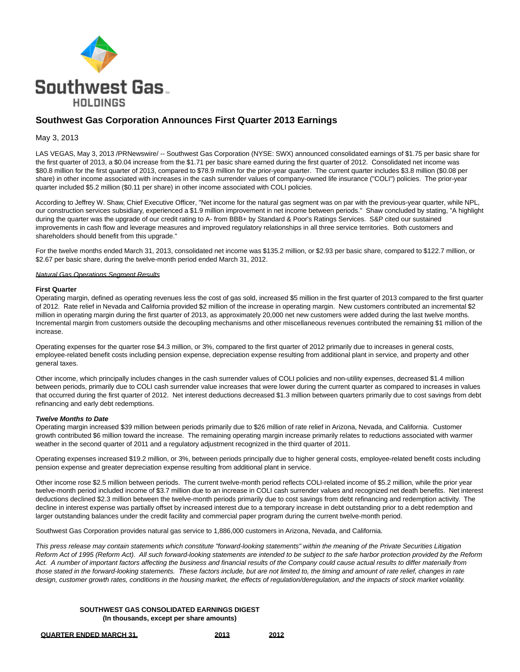

# **Southwest Gas Corporation Announces First Quarter 2013 Earnings**

### May 3, 2013

LAS VEGAS, May 3, 2013 /PRNewswire/ -- Southwest Gas Corporation (NYSE: SWX) announced consolidated earnings of \$1.75 per basic share for the first quarter of 2013, a \$0.04 increase from the \$1.71 per basic share earned during the first quarter of 2012. Consolidated net income was \$80.8 million for the first quarter of 2013, compared to \$78.9 million for the prior-year quarter. The current quarter includes \$3.8 million (\$0.08 per share) in other income associated with increases in the cash surrender values of company-owned life insurance ("COLI") policies. The prior-year quarter included \$5.2 million (\$0.11 per share) in other income associated with COLI policies.

According to Jeffrey W. Shaw, Chief Executive Officer, "Net income for the natural gas segment was on par with the previous-year quarter, while NPL, our construction services subsidiary, experienced a \$1.9 million improvement in net income between periods." Shaw concluded by stating, "A highlight during the quarter was the upgrade of our credit rating to A- from BBB+ by Standard & Poor's Ratings Services. S&P cited our sustained improvements in cash flow and leverage measures and improved regulatory relationships in all three service territories. Both customers and shareholders should benefit from this upgrade."

For the twelve months ended March 31, 2013, consolidated net income was \$135.2 million, or \$2.93 per basic share, compared to \$122.7 million, or \$2.67 per basic share, during the twelve-month period ended March 31, 2012.

#### **Natural Gas Operations Segment Results**

#### **First Quarter**

Operating margin, defined as operating revenues less the cost of gas sold, increased \$5 million in the first quarter of 2013 compared to the first quarter of 2012. Rate relief in Nevada and California provided \$2 million of the increase in operating margin. New customers contributed an incremental \$2 million in operating margin during the first quarter of 2013, as approximately 20,000 net new customers were added during the last twelve months. Incremental margin from customers outside the decoupling mechanisms and other miscellaneous revenues contributed the remaining \$1 million of the increase.

Operating expenses for the quarter rose \$4.3 million, or 3%, compared to the first quarter of 2012 primarily due to increases in general costs, employee-related benefit costs including pension expense, depreciation expense resulting from additional plant in service, and property and other general taxes.

Other income, which principally includes changes in the cash surrender values of COLI policies and non-utility expenses, decreased \$1.4 million between periods, primarily due to COLI cash surrender value increases that were lower during the current quarter as compared to increases in values that occurred during the first quarter of 2012. Net interest deductions decreased \$1.3 million between quarters primarily due to cost savings from debt refinancing and early debt redemptions.

#### **Twelve Months to Date**

Operating margin increased \$39 million between periods primarily due to \$26 million of rate relief in Arizona, Nevada, and California. Customer growth contributed \$6 million toward the increase. The remaining operating margin increase primarily relates to reductions associated with warmer weather in the second quarter of 2011 and a regulatory adjustment recognized in the third quarter of 2011.

Operating expenses increased \$19.2 million, or 3%, between periods principally due to higher general costs, employee-related benefit costs including pension expense and greater depreciation expense resulting from additional plant in service.

Other income rose \$2.5 million between periods. The current twelve-month period reflects COLI-related income of \$5.2 million, while the prior year twelve-month period included income of \$3.7 million due to an increase in COLI cash surrender values and recognized net death benefits. Net interest deductions declined \$2.3 million between the twelve-month periods primarily due to cost savings from debt refinancing and redemption activity. The decline in interest expense was partially offset by increased interest due to a temporary increase in debt outstanding prior to a debt redemption and larger outstanding balances under the credit facility and commercial paper program during the current twelve-month period.

Southwest Gas Corporation provides natural gas service to 1,886,000 customers in Arizona, Nevada, and California.

This press release may contain statements which constitute "forward-looking statements" within the meaning of the Private Securities Litigation Reform Act of 1995 (Reform Act). All such forward-looking statements are intended to be subject to the safe harbor protection provided by the Reform Act. A number of important factors affecting the business and financial results of the Company could cause actual results to differ materially from those stated in the forward-looking statements. These factors include, but are not limited to, the timing and amount of rate relief, changes in rate design, customer growth rates, conditions in the housing market, the effects of regulation/deregulation, and the impacts of stock market volatility.

#### **SOUTHWEST GAS CONSOLIDATED EARNINGS DIGEST (In thousands, except per share amounts)**

**QUARTER ENDED MARCH 31, 2013 2012**